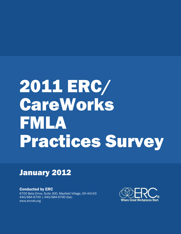# 2011 ERC/ **CareWorks** FMLA Practices Survey

## January 2012

Conducted by ERC 6700 Beta Drive, Suite 300, Mayfield Village, OH 44143 440/684-9700 | 440/684-9760 (fax) www.ercnet.org

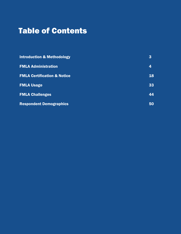# Table of Contents

| <b>Introduction &amp; Methodology</b>  | $\bf{3}$ |
|----------------------------------------|----------|
| <b>FMLA Administration</b>             | 4        |
| <b>FMLA Certification &amp; Notice</b> | 18       |
| <b>FMLA Usage</b>                      | 33       |
| <b>FMLA Challenges</b>                 | 44       |
| <b>Respondent Demographics</b>         | 50       |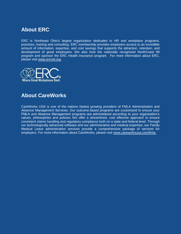## **About ERC**

ERC is Northeast Ohio's largest organization dedicated to HR and workplace programs, practices, training and consulting. ERC membership provides employers access to an incredible amount of information, expertise, and cost savings that supports the attraction, retention, and development of great employees. We also host the nationally recognized NorthCoast 99 program and sponsor the ERC Health insurance program. For more information about ERC, please visit [www.ercnet.org.](http://www.ercnet.org/)



## **About CareWorks**

CareWorks USA is one of the nations fastest growing providers of FMLA Administration and Absence Management Services. Our outcome based programs are customized to ensure your FMLA and Absence Management programs are administered according to your organization's values, philosophies and policies. We offer a streamlined, cost effective approach to ensure consistent claims handling and regulatory compliance both on a state and federal level. Through our technologically advanced software and our administrative and medical expertise, our Family Medical Leave administration services provide a comprehensive package of services for employers. For more information about CareWorks, please visit [www.careworksusa.com/fmla.](http://www.careworksusa.com/fmla)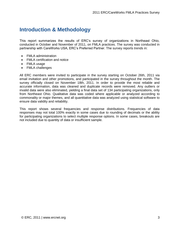## **Introduction & Methodology**

This report summarizes the results of ERC's survey of organizations in Northeast Ohio, conducted in October and November of 2011, on FMLA practices. The survey was conducted in partnership with CareWorks USA, ERC's Preferred Partner. The survey reports trends in:

- FMLA administration
- FMLA certification and notice
- FMLA usage
- FMLA challenges

All ERC members were invited to participate in the survey starting on October 26th, 2011 via email invitation and other promotions, and participated in the survey throughout the month. The survey officially closed on November 18th, 2011. In order to provide the most reliable and accurate information, data was cleaned and duplicate records were removed. Any outliers or invalid data were also eliminated, yielding a final data set of 134 participating organizations, only from Northeast Ohio. Qualitative data was coded where applicable or analyzed according to commonality or major themes, and all quantitative data was analyzed using statistical software to ensure data validity and reliability.

This report shows several frequencies and response distributions. Frequencies of data responses may not total 100% exactly in some cases due to rounding of decimals or the ability for participating organizations to select multiple response options. In some cases, breakouts are not included due to quantity of data or insufficient sample.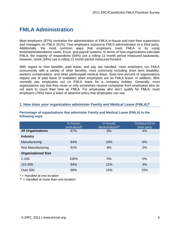## **FMLA Administration**

Most employers (87%) centralize the administration of FMLA in-house and train their supervisors and managers on FMLA (51%). Few employers outsource FMLA administration to a third party. Additionally, the most common ways that employers track FMLA is by using timesheets/attendance cards, Excel, and payroll systems. In terms of how organizations calculate FMLA, the majority of respondents (59%) use a rolling 12 month period measured backwards, however, some (34%) use a rolling 12 month period measured forward.

With regard to how benefits, paid leave, and pay are handled, most employers run FMLA concurrently with a variety of other benefits, most commonly including short term disability, workers compensation, and other paid/unpaid medical leave. Sixty-nine percent of organizations require use of paid leave (if available) when employees are on FMLA leave. In addition, 38% normally pay employees out on FMLA leave for a company holiday. Generally, most organizations say that they never or only sometimes receive complaints from employees who do not want to count their time as FMLA. For employees who don't qualify for FMLA, most employers (76%) have a leave of absence policy that employees can use.

#### **1. How does your organization administer Family and Medical Leave (FMLA)?**

|                            | In-house;<br>centralized* | In-house;<br>decentralized** | Outsourced to<br>third party |
|----------------------------|---------------------------|------------------------------|------------------------------|
| <b>All Organizations</b>   | 87%                       | 9%                           | 4%                           |
| <b>Industry</b>            |                           |                              |                              |
| Manufacturing              | 84%                       | 10%                          | 6%                           |
| Non-Manufacturing          | 91%                       | 8%                           | 2%                           |
| <b>Organizational Size</b> |                           |                              |                              |
| $1 - 100$                  | 100%                      | $0\%$                        | 0%                           |
| 101-500                    | 84%                       | 12%                          | 4%                           |
| <b>Over 500</b>            | 69%                       | 15%                          | 15%                          |

#### **Percentage of organizations that administer Family and Medical Leave (FMLA) in the following ways**

*\* = Handled at one location*

*\*\* = Handled at more than one location*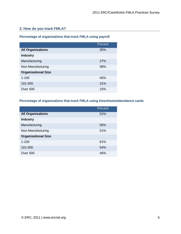#### **2. How do you track FMLA?**

#### **Percentage of organizations that track FMLA using payroll**

|                            | Percent |
|----------------------------|---------|
| <b>All Organizations</b>   | 35%     |
| <b>Industry</b>            |         |
| Manufacturing              | 27%     |
| Non-Manufacturing          | 38%     |
| <b>Organizational Size</b> |         |
| $1 - 100$                  | 45%     |
| 101-500                    | 31%     |
| Over 500                   | 15%     |

#### **Percentage of organizations that track FMLA using timesheets/attendance cards**

|                            | Percent |
|----------------------------|---------|
| <b>All Organizations</b>   | 52%     |
| <b>Industry</b>            |         |
| Manufacturing              | 56%     |
| Non-Manufacturing          | 51%     |
| <b>Organizational Size</b> |         |
| $1 - 100$                  | 61%     |
| 101-500                    | 54%     |
| Over 500                   | 46%     |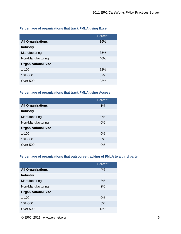#### **Percentage of organizations that track FMLA using Excel**

|                            | Percent |
|----------------------------|---------|
| <b>All Organizations</b>   | 36%     |
| <b>Industry</b>            |         |
| Manufacturing              | 35%     |
| Non-Manufacturing          | 40%     |
| <b>Organizational Size</b> |         |
| $1 - 100$                  | 52%     |
| 101-500                    | 32%     |
| Over 500                   | 23%     |

#### **Percentage of organizations that track FMLA using Access**

|                            | Percent |
|----------------------------|---------|
| <b>All Organizations</b>   | 1%      |
| <b>Industry</b>            |         |
| Manufacturing              | $0\%$   |
| Non-Manufacturing          | 0%      |
| <b>Organizational Size</b> |         |
| $1 - 100$                  | $0\%$   |
| 101-500                    | 0%      |
| Over 500                   | $0\%$   |

#### **Percentage of organizations that outsource tracking of FMLA to a third party**

|                            | Percent |
|----------------------------|---------|
| <b>All Organizations</b>   | 4%      |
| <b>Industry</b>            |         |
| Manufacturing              | 8%      |
| Non-Manufacturing          | 2%      |
| <b>Organizational Size</b> |         |
| $1 - 100$                  | 0%      |
| 101-500                    | 5%      |
| Over 500                   | 15%     |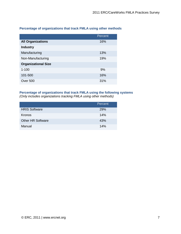|                            | Percent |
|----------------------------|---------|
| <b>All Organizations</b>   | 16%     |
| <b>Industry</b>            |         |
| Manufacturing              | 13%     |
| Non-Manufacturing          | 19%     |
| <b>Organizational Size</b> |         |
| $1 - 100$                  | 9%      |
| 101-500                    | 16%     |
| Over 500                   | 31%     |

#### **Percentage of organizations that track FMLA using other methods**

#### **Percentage of organizations that track FMLA using the following systems**

*(Only includes organizations tracking FMLA using other methods)*

|                          | Percent    |
|--------------------------|------------|
| <b>HRIS Software</b>     | <b>29%</b> |
| Kronos                   | 14%        |
| <b>Other HR Software</b> | 43%        |
| Manual                   | 14%        |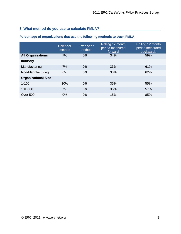### **3. What method do you use to calculate FMLA?**

#### **Percentage of organizations that use the following methods to track FMLA**

|                            | Calendar<br>method | <b>Fixed year</b><br>method | Rolling 12 month<br>period measured<br>forward | Rolling 12 month<br>period measured<br>backwards |
|----------------------------|--------------------|-----------------------------|------------------------------------------------|--------------------------------------------------|
| <b>All Organizations</b>   | 7%                 | 0%                          | 34%                                            | 59%                                              |
| <b>Industry</b>            |                    |                             |                                                |                                                  |
| Manufacturing              | 7%                 | $0\%$                       | 33%                                            | 61%                                              |
| Non-Manufacturing          | 6%                 | 0%                          | 33%                                            | 62%                                              |
| <b>Organizational Size</b> |                    |                             |                                                |                                                  |
| $1 - 100$                  | 10%                | $0\%$                       | 35%                                            | 55%                                              |
| 101-500                    | 7%                 | 0%                          | 36%                                            | 57%                                              |
| <b>Over 500</b>            | 0%                 | 0%                          | 15%                                            | 85%                                              |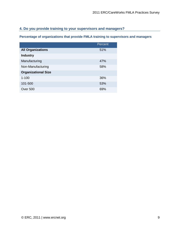#### **4. Do you provide training to your supervisors and managers?**

**Percentage of organizations that provide FMLA training to supervisors and managers**

|                            | Percent |
|----------------------------|---------|
| <b>All Organizations</b>   | 51%     |
| <b>Industry</b>            |         |
| Manufacturing              | 47%     |
| Non-Manufacturing          | 58%     |
| <b>Organizational Size</b> |         |
| $1 - 100$                  | 36%     |
| 101-500                    | 53%     |
| Over 500                   | 69%     |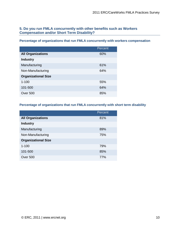#### **5. Do you run FMLA concurrently with other benefits such as Workers Compensation and/or Short Term Disability?**

#### **Percentage of organizations that run FMLA concurrently with workers compensation**

|                            | Percent |
|----------------------------|---------|
| <b>All Organizations</b>   | 60%     |
| <b>Industry</b>            |         |
| Manufacturing              | 61%     |
| Non-Manufacturing          | 64%     |
| <b>Organizational Size</b> |         |
| $1 - 100$                  | 55%     |
| 101-500                    | 64%     |
| Over 500                   | 85%     |

#### **Percentage of organizations that run FMLA concurrently with short term disability**

|                            | Percent |
|----------------------------|---------|
| <b>All Organizations</b>   | 81%     |
| <b>Industry</b>            |         |
| Manufacturing              | 89%     |
| Non-Manufacturing          | 75%     |
| <b>Organizational Size</b> |         |
| $1 - 100$                  | 79%     |
| 101-500                    | 85%     |
| Over 500                   | 77%     |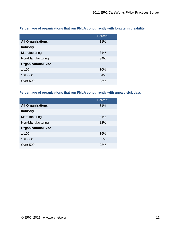|                            | Percent |
|----------------------------|---------|
| <b>All Organizations</b>   | 31%     |
| <b>Industry</b>            |         |
| Manufacturing              | 31%     |
| Non-Manufacturing          | 34%     |
| <b>Organizational Size</b> |         |
| $1 - 100$                  | 30%     |
| 101-500                    | 34%     |
| Over 500                   | 23%     |

#### **Percentage of organizations that run FMLA concurrently with long term disability**

#### **Percentage of organizations that run FMLA concurrently with unpaid sick days**

|                            | Percent |
|----------------------------|---------|
| <b>All Organizations</b>   | 31%     |
| <b>Industry</b>            |         |
| Manufacturing              | 31%     |
| Non-Manufacturing          | 32%     |
| <b>Organizational Size</b> |         |
| $1 - 100$                  | 36%     |
| 101-500                    | 32%     |
| Over 500                   | 23%     |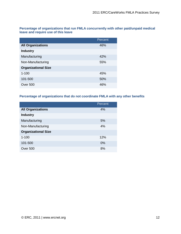**Percentage of organizations that run FMLA concurrently with other paid/unpaid medical leave and require use of this leave**

|                            | Percent |
|----------------------------|---------|
| <b>All Organizations</b>   | 46%     |
| <b>Industry</b>            |         |
| Manufacturing              | 42%     |
| Non-Manufacturing          | 55%     |
| <b>Organizational Size</b> |         |
| $1 - 100$                  | 45%     |
| 101-500                    | 50%     |
| Over 500                   | 46%     |

#### **Percentage of organizations that do not coordinate FMLA with any other benefits**

|                            | Percent |
|----------------------------|---------|
| <b>All Organizations</b>   | 4%      |
| <b>Industry</b>            |         |
| Manufacturing              | 5%      |
| Non-Manufacturing          | 4%      |
| <b>Organizational Size</b> |         |
| $1 - 100$                  | 12%     |
| 101-500                    | 0%      |
| Over 500                   | 8%      |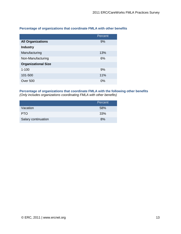|                            | Percent |
|----------------------------|---------|
| <b>All Organizations</b>   | 9%      |
| <b>Industry</b>            |         |
| Manufacturing              | 13%     |
| Non-Manufacturing          | 6%      |
| <b>Organizational Size</b> |         |
| $1 - 100$                  | 9%      |
| 101-500                    | 11%     |
| Over 500                   | 0%      |

#### **Percentage of organizations that coordinate FMLA with other benefits**

## **Percentage of organizations that coordinate FMLA with the following other benefits**

|  |  | (Only includes organizations coordinating FMLA with other benefits) |  |
|--|--|---------------------------------------------------------------------|--|
|--|--|---------------------------------------------------------------------|--|

|                     | Percent |
|---------------------|---------|
| Vacation            | 58%     |
| <b>PTO</b>          | 33%     |
| Salary continuation | 8%      |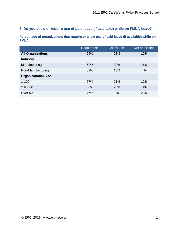#### **6. Do you allow or require use of paid leave (if available) while on FMLA leave?**

**Percentage of organizations that require or allow use of paid leave (if available) while on FMLA**

|                            | Require use | Allow use | Not applicable |
|----------------------------|-------------|-----------|----------------|
| <b>All Organizations</b>   | 69%         | 21%       | 10%            |
| <b>Industry</b>            |             |           |                |
| Manufacturing              | 52%         | 32%       | 16%            |
| Non-Manufacturing          | 83%         | 13%       | 4%             |
| <b>Organizational Size</b> |             |           |                |
| $1 - 100$                  | 67%         | 21%       | 12%            |
| 101-500                    | 66%         | 26%       | 8%             |
| <b>Over 500</b>            | 77%         | 0%        | 23%            |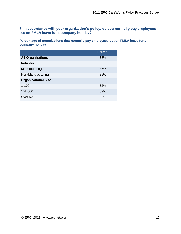**7. In accordance with your organization's policy, do you normally pay employees out on FMLA leave for a company holiday?** 

**Percentage of organizations that normally pay employees out on FMLA leave for a company holiday**

|                            | Percent |
|----------------------------|---------|
| <b>All Organizations</b>   | 38%     |
| <b>Industry</b>            |         |
| Manufacturing              | 37%     |
| Non-Manufacturing          | 38%     |
| <b>Organizational Size</b> |         |
| $1 - 100$                  | 32%     |
| 101-500                    | 39%     |
| Over 500                   | 42%     |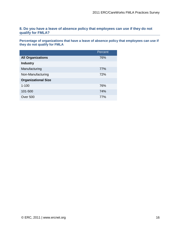#### **8. Do you have a leave of absence policy that employees can use if they do not qualify for FMLA?**

**Percentage of organizations that have a leave of absence policy that employees can use if they do not qualify for FMLA**

|                            | Percent |
|----------------------------|---------|
| <b>All Organizations</b>   | 76%     |
| <b>Industry</b>            |         |
| Manufacturing              | 77%     |
| Non-Manufacturing          | 72%     |
| <b>Organizational Size</b> |         |
| $1 - 100$                  | 76%     |
| 101-500                    | 74%     |
| Over 500                   | 77%     |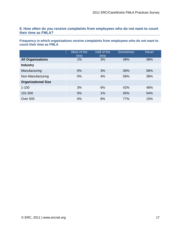#### **9. How often do you receive complaints from employees who do not want to count their time as FMLA?**

**Frequency in which organizations receive complaints from employees who do not want to count their time as FMLA**

|                            | Most of the<br>time | Half of the<br>time | <b>Sometimes</b> | <b>Never</b> |
|----------------------------|---------------------|---------------------|------------------|--------------|
| <b>All Organizations</b>   | 1%                  | 3%                  | 48%              | 48%          |
| <b>Industry</b>            |                     |                     |                  |              |
| Manufacturing              | 0%                  | 3%                  | 39%              | 58%          |
| Non-Manufacturing          | 0%                  | 4%                  | 58%              | 38%          |
| <b>Organizational Size</b> |                     |                     |                  |              |
| $1 - 100$                  | 3%                  | 6%                  | 42%              | 48%          |
| 101-500                    | 0%                  | 1%                  | 45%              | 54%          |
| <b>Over 500</b>            | 0%                  | 8%                  | 77%              | 15%          |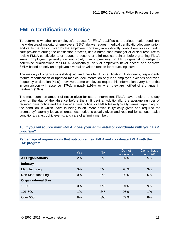## **FMLA Certification & Notice**

To determine whether an employee's request for FMLA qualifies as a serious health condition, the widespread majority of employers (88%) always request medical certification/documentation and verify the reason given by the employee, however, rarely directly contact employees' health care providers during the certification process, use a nurse case manager or clinical resource to review FMLA certifications, or request a second or third medical opinion before granting FMLA leave. Employers generally do not solely use supervisory or HR judgment/knowledge to determine qualifications for FMLA. Additionally, 72% of employers never accept and approve FMLA based on only an employee's verbal or written reason for requesting leave.

The majority of organizations (84%) require fitness for duty certification. Additionally, respondents require recertification or updated medical documentation only if an employee exceeds approved frequency or duration (41%), however, some employers require this information every 6 months in conjunction with absence (17%), annually (19%), or when they are notified of a change in treatment (19%).

The most common amount of notice given for use of intermittent FMLA leave is either one day prior or the day of the absence before the shift begins. Additionally, the average number of required days notice and the average days notice for FMLA leave typically varies depending on the condition in which leave is being taken. More notice is typically given and required for pregnancy/maternity leave, whereas less notice is usually given and required for serious health conditions, catastrophic events, and care of a family member.

#### **10. If you outsource your FMLA, does your administrator coordinate with your EAP program?**

**Percentage of organizations that outsource their FMLA and coordinate FMLA with their EAP program**

|                            | Yes | <b>No</b> | Do not<br>outsource | Do not have<br>an EAP |
|----------------------------|-----|-----------|---------------------|-----------------------|
| <b>All Organizations</b>   | 2%  | 2%        | 92%                 | 5%                    |
| <b>Industry</b>            |     |           |                     |                       |
| Manufacturing              | 3%  | 3%        | 90%                 | 3%                    |
| Non-Manufacturing          | 0%  | 2%        | 92%                 | 6%                    |
| <b>Organizational Size</b> |     |           |                     |                       |
| $1 - 100$                  | 0%  | $0\%$     | 91%                 | 9%                    |
| 101-500                    | 1%  | 3%        | 95%                 | 1%                    |
| Over 500                   | 8%  | 8%        | 77%                 | 8%                    |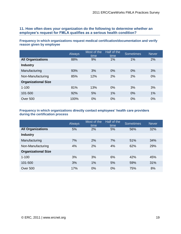#### **11. How often does your organization do the following to determine whether an employee's request for FMLA qualifies as a serious health condition?**

#### **Frequency in which organizations request medical certification/documentation and verify reason given by employee**

|                            | Always | Most of the<br>time | Half of the<br>time | <b>Sometimes</b> | <b>Never</b> |
|----------------------------|--------|---------------------|---------------------|------------------|--------------|
| <b>All Organizations</b>   | 88%    | 9%                  | 1%                  | 1%               | 2%           |
| <b>Industry</b>            |        |                     |                     |                  |              |
| Manufacturing              | 93%    | 3%                  | 0%                  | 0%               | 3%           |
| Non-Manufacturing          | 85%    | 12%                 | 2%                  | 2%               | 0%           |
| <b>Organizational Size</b> |        |                     |                     |                  |              |
| $1 - 100$                  | 81%    | 13%                 | 0%                  | 3%               | 3%           |
| 101-500                    | 92%    | 5%                  | 1%                  | 0%               | 1%           |
| <b>Over 500</b>            | 100%   | 0%                  | 0%                  | 0%               | 0%           |

#### **Frequency in which organizations directly contact employees' health care providers during the certification process**

|                            | Always | Most of the<br>time | Half of the<br>time | <b>Sometimes</b> | <b>Never</b> |
|----------------------------|--------|---------------------|---------------------|------------------|--------------|
| <b>All Organizations</b>   | 5%     | 2%                  | 5%                  | 56%              | 32%          |
| <b>Industry</b>            |        |                     |                     |                  |              |
| Manufacturing              | 7%     | 2%                  | 7%                  | 51%              | 34%          |
| Non-Manufacturing          | 4%     | 2%                  | 4%                  | 62%              | 29%          |
| <b>Organizational Size</b> |        |                     |                     |                  |              |
| $1 - 100$                  | 3%     | 3%                  | 6%                  | 42%              | 45%          |
| 101-500                    | 3%     | 1%                  | 5%                  | 59%              | 31%          |
| <b>Over 500</b>            | 17%    | 0%                  | 0%                  | 75%              | 8%           |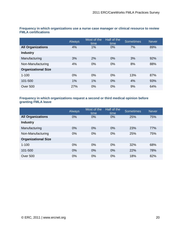|                            | <b>Always</b> | Most of the<br>time | Half of the<br>time | <b>Sometimes</b> | <b>Never</b> |
|----------------------------|---------------|---------------------|---------------------|------------------|--------------|
| <b>All Organizations</b>   | 4%            | 1%                  | 0%                  | 7%               | 89%          |
| <b>Industry</b>            |               |                     |                     |                  |              |
| Manufacturing              | 3%            | 2%                  | 0%                  | 3%               | 92%          |
| Non-Manufacturing          | 4%            | 0%                  | 0%                  | 8%               | 88%          |
| <b>Organizational Size</b> |               |                     |                     |                  |              |
| $1 - 100$                  | 0%            | 0%                  | 0%                  | 13%              | 87%          |
| 101-500                    | 1%            | 1%                  | $0\%$               | 4%               | 93%          |
| <b>Over 500</b>            | 27%           | 0%                  | 0%                  | 9%               | 64%          |

**Frequency in which organizations use a nurse case manager or clinical resource to review FMLA certifications**

#### **Frequency in which organizations request a second or third medical opinion before granting FMLA leave**

|                            | Always | Most of the<br>time | Half of the<br>time | <b>Sometimes</b> | <b>Never</b> |
|----------------------------|--------|---------------------|---------------------|------------------|--------------|
| <b>All Organizations</b>   | 0%     | $0\%$               | 0%                  | 25%              | 75%          |
| <b>Industry</b>            |        |                     |                     |                  |              |
| Manufacturing              | 0%     | 0%                  | $0\%$               | 23%              | 77%          |
| Non-Manufacturing          | 0%     | 0%                  | 0%                  | 25%              | 75%          |
| <b>Organizational Size</b> |        |                     |                     |                  |              |
| $1 - 100$                  | 0%     | 0%                  | 0%                  | 32%              | 68%          |
| 101-500                    | 0%     | 0%                  | 0%                  | 22%              | 78%          |
| <b>Over 500</b>            | 0%     | 0%                  | 0%                  | 18%              | 82%          |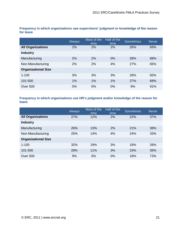|                            | Always | Most of the<br>time | Half of the<br>time | <b>Sometimes</b> | <b>Never</b> |
|----------------------------|--------|---------------------|---------------------|------------------|--------------|
| <b>All Organizations</b>   | 2%     | 2%                  | 2%                  | 26%              | 69%          |
| <b>Industry</b>            |        |                     |                     |                  |              |
| Manufacturing              | 2%     | 2%                  | 0%                  | 28%              | 68%          |
| Non-Manufacturing          | 2%     | 2%                  | 4%                  | 27%              | 65%          |
| <b>Organizational Size</b> |        |                     |                     |                  |              |
| $1 - 100$                  | 3%     | 3%                  | 3%                  | 26%              | 65%          |
| 101-500                    | 1%     | 1%                  | 1%                  | 27%              | 68%          |
| <b>Over 500</b>            | $0\%$  | 0%                  | 0%                  | 9%               | 91%          |

**Frequency in which organizations use supervisors' judgment or knowledge of the reason for leave**

#### **Frequency in which organizations use HR's judgment and/or knowledge of the reason for leave**

|                            | Always | Most of the<br>time | Half of the<br>time | <b>Sometimes</b> | <b>Never</b> |
|----------------------------|--------|---------------------|---------------------|------------------|--------------|
| <b>All Organizations</b>   | 27%    | 12%                 | 2%                  | 22%              | 37%          |
| <b>Industry</b>            |        |                     |                     |                  |              |
| Manufacturing              | 26%    | 13%                 | 2%                  | 21%              | 38%          |
| Non-Manufacturing          | 25%    | 14%                 | 4%                  | 24%              | 33%          |
| <b>Organizational Size</b> |        |                     |                     |                  |              |
| $1 - 100$                  | 32%    | 19%                 | 3%                  | 19%              | 26%          |
| 101-500                    | 28%    | 11%                 | 3%                  | 23%              | 35%          |
| <b>Over 500</b>            | 9%     | 0%                  | 0%                  | 18%              | 73%          |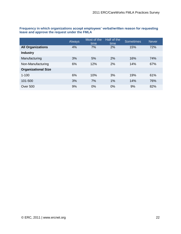|                            | Always | Most of the<br>time | Half of the<br>time | <b>Sometimes</b> | <b>Never</b> |
|----------------------------|--------|---------------------|---------------------|------------------|--------------|
| <b>All Organizations</b>   | 4%     | 7%                  | 2%                  | 15%              | 72%          |
| <b>Industry</b>            |        |                     |                     |                  |              |
| Manufacturing              | 3%     | 5%                  | 2%                  | 16%              | 74%          |
| Non-Manufacturing          | 6%     | 12%                 | 2%                  | 14%              | 67%          |
| <b>Organizational Size</b> |        |                     |                     |                  |              |
| $1 - 100$                  | 6%     | 10%                 | 3%                  | 19%              | 61%          |
| 101-500                    | 3%     | 7%                  | 1%                  | 14%              | 76%          |
| <b>Over 500</b>            | 9%     | 0%                  | 0%                  | 9%               | 82%          |

**Frequency in which organizations accept employees' verbal/written reason for requesting leave and approve the request under the FMLA**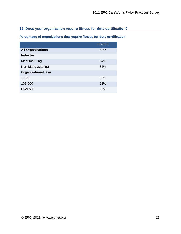#### **12. Does your organization require fitness for duty certification?**

**Percentage of organizations that require fitness for duty certification**

|                            | Percent |
|----------------------------|---------|
| <b>All Organizations</b>   | 84%     |
| <b>Industry</b>            |         |
| Manufacturing              | 84%     |
| Non-Manufacturing          | 85%     |
| <b>Organizational Size</b> |         |
| $1 - 100$                  | 84%     |
| 101-500                    | 81%     |
| Over 500                   | 92%     |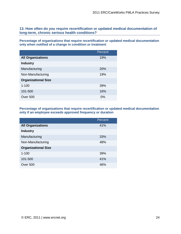**13. How often do you require recertification or updated medical documentation of long-term, chronic serious health conditions?** 

**Percentage of organizations that require recertification or updated medical documentation only when notified of a change in condition or treatment**

|                            | Percent |
|----------------------------|---------|
| <b>All Organizations</b>   | 19%     |
| <b>Industry</b>            |         |
| Manufacturing              | 20%     |
| Non-Manufacturing          | 19%     |
| <b>Organizational Size</b> |         |
| $1 - 100$                  | 39%     |
| 101-500                    | 16%     |
| Over 500                   | 0%      |

**Percentage of organizations that require recertification or updated medical documentation only if an employee exceeds approved frequency or duration**

|                            | Percent |
|----------------------------|---------|
| <b>All Organizations</b>   | 41%     |
| <b>Industry</b>            |         |
| Manufacturing              | 33%     |
| Non-Manufacturing          | 48%     |
| <b>Organizational Size</b> |         |
| $1 - 100$                  | 39%     |
| 101-500                    | 41%     |
| Over 500                   | 46%     |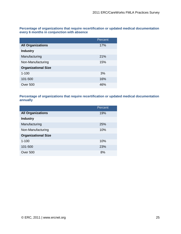**Percentage of organizations that require recertification or updated medical documentation every 6 months in conjunction with absence**

|                            | Percent |
|----------------------------|---------|
| <b>All Organizations</b>   | 17%     |
| <b>Industry</b>            |         |
| Manufacturing              | 21%     |
| Non-Manufacturing          | 15%     |
| <b>Organizational Size</b> |         |
| $1 - 100$                  | 3%      |
| 101-500                    | 16%     |
| Over 500                   | 46%     |

**Percentage of organizations that require recertification or updated medical documentation annually**

|                            | Percent |
|----------------------------|---------|
| <b>All Organizations</b>   | 19%     |
| <b>Industry</b>            |         |
| Manufacturing              | 25%     |
| Non-Manufacturing          | 10%     |
| <b>Organizational Size</b> |         |
| $1 - 100$                  | 10%     |
| 101-500                    | 23%     |
| Over 500                   | 8%      |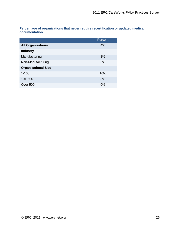**Percentage of organizations that never require recertification or updated medical documentation** 

|                            | Percent |
|----------------------------|---------|
| <b>All Organizations</b>   | 4%      |
| <b>Industry</b>            |         |
| Manufacturing              | 2%      |
| Non-Manufacturing          | 8%      |
| <b>Organizational Size</b> |         |
| $1 - 100$                  | 10%     |
| 101-500                    | 3%      |
| Over 500                   | $0\%$   |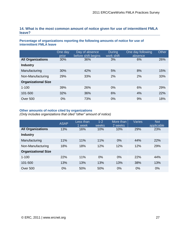#### **14. What is the most common amount of notice given for use of intermittent FMLA leave?**

#### **Percentage of organizations reporting the following amounts of notice for use of intermittent FMLA leave**

|                            | One day<br>prior | Day of absence<br>before shift begins | <b>During</b><br>work shift | One day following<br>absence | Other |
|----------------------------|------------------|---------------------------------------|-----------------------------|------------------------------|-------|
| <b>All Organizations</b>   | 30%              | 36%                                   | 3%                          | 6%                           | 26%   |
| <b>Industry</b>            |                  |                                       |                             |                              |       |
| Manufacturing              | 30%              | 42%                                   | 5%                          | 8%                           | 15%   |
| Non-Manufacturing          | 29%              | 33%                                   | 2%                          | 2%                           | 33%   |
| <b>Organizational Size</b> |                  |                                       |                             |                              |       |
| $1 - 100$                  | 39%              | 26%                                   | $0\%$                       | 6%                           | 29%   |
| 101-500                    | 32%              | 36%                                   | 6%                          | 4%                           | 22%   |
| <b>Over 500</b>            | 0%               | 73%                                   | 0%                          | 9%                           | 18%   |

#### **Other amounts of notice cited by organizations**

*(Only includes organizations that cited "other" amount of notice)*

|                            | <b>ASAP</b> | Less than<br>1 week | $1 - 2$<br>weeks | More than<br>2 weeks | <b>Varies</b> | <b>Not</b><br>applicable |
|----------------------------|-------------|---------------------|------------------|----------------------|---------------|--------------------------|
| <b>All Organizations</b>   | 13%         | 16%                 | 10%              | 10%                  | 29%           | 23%                      |
| <b>Industry</b>            |             |                     |                  |                      |               |                          |
| Manufacturing              | 11%         | 11%                 | 11%              | $0\%$                | 44%           | 22%                      |
| Non-Manufacturing          | 18%         | 18%                 | 12%              | 12%                  | 12%           | 29%                      |
| <b>Organizational Size</b> |             |                     |                  |                      |               |                          |
| $1 - 100$                  | 22%         | 11%                 | 0%               | 0%                   | 22%           | 44%                      |
| 101-500                    | 13%         | 13%                 | 13%              | 13%                  | 38%           | 13%                      |
| <b>Over 500</b>            | 0%          | 50%                 | 50%              | 0%                   | 0%            | 0%                       |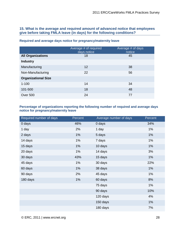#### **15. What is the average and required amount of advanced notice that employees give before taking FMLA leave (in days) for the following conditions?**

|                            | Average # of required<br>days notice | Average # of days<br>notice |
|----------------------------|--------------------------------------|-----------------------------|
| <b>All Organizations</b>   | 18                                   | 45                          |
| <b>Industry</b>            |                                      |                             |
| Manufacturing              | 12                                   | 38                          |
| Non-Manufacturing          | 22                                   | 56                          |
| <b>Organizational Size</b> |                                      |                             |
| $1 - 100$                  | 14                                   | 34                          |
| 101-500                    | 18                                   | 48                          |
| Over 500                   | 24                                   | 77                          |

#### **Required and average days notice for pregnancy/maternity leave**

#### **Percentage of organizations reporting the following number of required and average days notice for pregnancy/maternity leave**

| Required number of days | Percent | Average number of days | Percent |
|-------------------------|---------|------------------------|---------|
| 0 days                  | 46%     | 0 days                 | 34%     |
| 1 day                   | 2%      | 1 day                  | 1%      |
| 2 days                  | 1%      | 5 days                 | 1%      |
| 14 days                 | 1%      | 7 days                 | 1%      |
| 15 days                 | 1%      | 10 days                | 1%      |
| 20 days                 | 1%      | 14 days                | 3%      |
| 30 days                 | 43%     | 15 days                | 1%      |
| 45 days                 | 1%      | 30 days                | 22%     |
| 60 days                 | 1%      | 38 days                | 1%      |
| 90 days                 | 2%      | 45 days                | 1%      |
| 180 days                | 1%      | 60 days                | 8%      |
|                         |         | 75 days                | 1%      |
|                         |         | 90 days                | 10%     |
|                         |         | 120 days               | 4%      |
|                         |         | 150 days               | 1%      |
|                         |         | 180 days               | 7%      |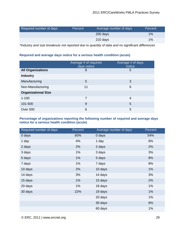| Required number of days | Percent | Average number of days | Percent |
|-------------------------|---------|------------------------|---------|
|                         |         | 200 days               | $1\%$   |
|                         |         | 210 days               | $1\%$   |

*\*Industry and size breakouts not reported due to quantity of data and no significant differences*

#### **Required and average days notice for a serious health condition (acute)**

|                            | Average # of required<br>days notice | Average # of days<br>notice |
|----------------------------|--------------------------------------|-----------------------------|
| <b>All Organizations</b>   | 8                                    | 5                           |
| <b>Industry</b>            |                                      |                             |
| Manufacturing              | 5                                    | 3                           |
| Non-Manufacturing          | 11                                   | 6                           |
| <b>Organizational Size</b> |                                      |                             |
| $1 - 100$                  | 7                                    | 4                           |
| 101-500                    | 9                                    | 5                           |
| Over 500                   | 6                                    | 5                           |

#### **Percentage of organizations reporting the following number of required and average days notice for a serious health condition (acute)**

| Required number of days | Percent | Average number of days | Percent |
|-------------------------|---------|------------------------|---------|
| 0 days                  | 60%     | 0 days                 | 54%     |
| 1 day                   | 4%      | 1 day                  | 8%      |
| 2 days                  | 2%      | 2 days                 | 2%      |
| 3 days                  | 1%      | 3 days                 | 3%      |
| 5 days                  | 1%      | 5 days                 | 8%      |
| 7 days                  | 1%      | 7 days                 | 8%      |
| 10 days                 | 2%      | 10 days                | 1%      |
| 14 days                 | 3%      | 14 days                | 3%      |
| 15 days                 | 1%      | 15 days                | 2%      |
| 20 days                 | 1%      | 18 days                | 1%      |
| 30 days                 | 22%     | 19 days                | 1%      |
|                         |         | 20 days                | 1%      |
|                         |         | 30 days                | 6%      |
|                         |         | 60 days                | 1%      |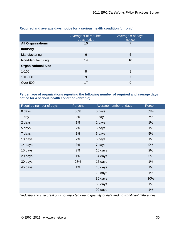|                            | Average # of required<br>days notice | Average # of days<br>notice |
|----------------------------|--------------------------------------|-----------------------------|
| <b>All Organizations</b>   | 10                                   |                             |
| <b>Industry</b>            |                                      |                             |
| Manufacturing              | 6                                    | 5                           |
| Non-Manufacturing          | 14                                   | 10                          |
| <b>Organizational Size</b> |                                      |                             |
| $1 - 100$                  | 8                                    | 8                           |
| 101-500                    | 9                                    | 7                           |
| Over 500                   | 17                                   | 9                           |

#### **Required and average days notice for a serious health condition (chronic)**

#### **Percentage of organizations reporting the following number of required and average days notice for a serious health condition (chronic)**

| Required number of days | Percent | Average number of days | Percent |
|-------------------------|---------|------------------------|---------|
| 0 days                  | 56%     | 0 days                 | 53%     |
| 1 day                   | 2%      | 1 day                  | 7%      |
| 2 days                  | 1%      | 2 days                 | 1%      |
| 5 days                  | 2%      | 3 days                 | $1\%$   |
| 7 days                  | 1%      | 5 days                 | 5%      |
| 10 days                 | 2%      | 6 days                 | 1%      |
| 14 days                 | 3%      | 7 days                 | 9%      |
| 15 days                 | 2%      | 10 days                | 2%      |
| 20 days                 | 1%      | 14 days                | 5%      |
| 30 days                 | 28%     | 15 days                | 1%      |
| 45 days                 | 1%      | 18 days                | 1%      |
|                         |         | 20 days                | 1%      |
|                         |         | 30 days                | 10%     |
|                         |         | 60 days                | 1%      |
|                         |         | 90 days                | 1%      |

*\*Industry and size breakouts not reported due to quantity of data and no significant differences*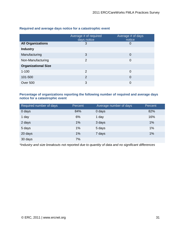|                            | Average # of required<br>days notice | Average # of days<br>notice |
|----------------------------|--------------------------------------|-----------------------------|
| <b>All Organizations</b>   | 3                                    | 0                           |
| <b>Industry</b>            |                                      |                             |
| Manufacturing              | 3                                    | 0                           |
| Non-Manufacturing          | $\overline{2}$                       | $\mathbf 0$                 |
| <b>Organizational Size</b> |                                      |                             |
| $1 - 100$                  | $\overline{2}$                       | 0                           |
| 101-500                    | $\overline{2}$                       | 0                           |
| Over 500                   | 3                                    | 0                           |

#### **Required and average days notice for a catastrophic event**

#### **Percentage of organizations reporting the following number of required and average days notice for a catastrophic event**

| Required number of days | Percent | Average number of days | Percent |
|-------------------------|---------|------------------------|---------|
| 0 days                  | 84%     | 0 days                 | 82%     |
| 1 day                   | 6%      | 1 day                  | 16%     |
| 2 days                  | 1%      | 3 days                 | 1%      |
| 5 days                  | 1%      | 5 days                 | 1%      |
| 20 days                 | 1%      | 7 days                 | 1%      |
| 30 days                 | 7%      |                        |         |

*\*Industry and size breakouts not reported due to quantity of data and no significant differences*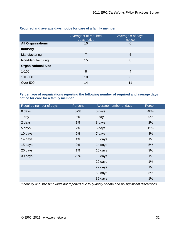|                            | Average # of required<br>days notice | Average # of days<br>notice |
|----------------------------|--------------------------------------|-----------------------------|
| <b>All Organizations</b>   | 10                                   | 6                           |
| <b>Industry</b>            |                                      |                             |
| Manufacturing              | 7                                    | 5                           |
| Non-Manufacturing          | 15                                   | 8                           |
| <b>Organizational Size</b> |                                      |                             |
| $1 - 100$                  | 8                                    | 4                           |
| 101-500                    | 10                                   | 6                           |
| Over 500                   | 14                                   | 11                          |

#### **Required and average days notice for care of a family member**

#### **Percentage of organizations reporting the following number of required and average days notice for care for a family member**

| Required number of days | Percent | Average number of days | Percent |
|-------------------------|---------|------------------------|---------|
| 0 days                  | 57%     | 0 days                 | 48%     |
| 1 day                   | 3%      | 1 day                  | 9%      |
| 2 days                  | 1%      | 3 days                 | 2%      |
| 5 days                  | 2%      | 5 days                 | 12%     |
| 10 days                 | 2%      | 7 days                 | 8%      |
| 14 days                 | 4%      | 10 days                | $1\%$   |
| 15 days                 | 2%      | 14 days                | 5%      |
| 20 days                 | 1%      | 15 days                | 3%      |
| 30 days                 | 28%     | 18 days                | 1%      |
|                         |         | 20 days                | 1%      |
|                         |         | 22 days                | 1%      |
|                         |         | 30 days                | 8%      |
|                         |         | 35 days                | 1%      |

*\*Industry and size breakouts not reported due to quantity of data and no significant differences*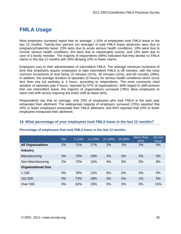## **FMLA Usage**

Most employers surveyed report that on average, 1-10% of employees took FMLA leave in the last 12 months. Twenty-four percent (on average) of total FMLA leave absences were due to pregnancy/maternity leave, 23% were due to acute serious health conditions, 19% were due to chronic serious health conditions, 6% were due to catastrophic events, and 13% were due to care of a family member. The majority of respondents (69%) indicated that they denied no FMLA claims in the last 12 months with 26% denying 10% or fewer claims.

Employers vary in their administration of intermittent FMLA. The average minimum increment of time that employers require employees to take intermittent FMLA is 48 minutes, with the most common increments of time being 15 minutes (31%), 30 minutes (15%), and 60 minutes (28%). In addition, the average duration of episodes (in hours) for serious health conditions which occur less than one full workday is 3 hours, according to respondents. The most commonly cited duration of episodes was 4 hours, reported by 57% of organizations. With regard to shift-workers that use intermittent leave, the majority of organizations surveyed (78%) allow employees to rejoin mid-shift versus requiring the entire shift as leave (6%).

Respondents say that on average, only 23% of employees who took FMLA in the past year exhausted their allotment. The widespread majority of employers surveyed (70%) reported that 20% or fewer employees exhausted their FMLA allotment, and 60% reported that 10% or fewer employees exhausted their allotment.

#### **16. What percentage of your employees took FMLA leave in the last 12 months?**

|                            | $0\%$ | $1 - 10%$ | $11 - 20%$ | 21-28% | 29-40% | More than<br>40% | Do not<br>track |
|----------------------------|-------|-----------|------------|--------|--------|------------------|-----------------|
| <b>All Organizations</b>   | 2%    | 71%       | 17%        | 2%     | 1%     | 2%               | 5%              |
| <b>Industry</b>            |       |           |            |        |        |                  |                 |
| Manufacturing              | 3%    | 73%       | 18%        | 2%     | 0%     | 2%               | 3%              |
| Non-Manufacturing          | 2%    | 72%       | 15%        | 4%     | 0%     | 0%               | 8%              |
| <b>Organizational Size</b> |       |           |            |        |        |                  |                 |
| $1 - 100$                  | 9%    | 76%       | 12%        | 0%     | 0%     | 3%               | 0%              |
| 101-500                    | 0%    | 73%       | 18%        | 3%     | 0%     | 1%               | 5%              |
| <b>Over 500</b>            | 0%    | 62%       | 23%        | 0%     | 0%     | 0%               | 15%             |

#### **Percentage of employees that took FMLA leave in the last 12 months**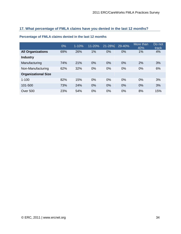#### **17. What percentage of FMLA claims have you denied in the last 12 months?**

|                            | 0%  | $1 - 10%$ | $11 - 20%$ | 21-28% | 29-40% | More than<br>40% | Do not<br>track |
|----------------------------|-----|-----------|------------|--------|--------|------------------|-----------------|
| <b>All Organizations</b>   | 69% | 26%       | 1%         | 0%     | 0%     | 1%               | 4%              |
| <b>Industry</b>            |     |           |            |        |        |                  |                 |
| Manufacturing              | 74% | 21%       | $0\%$      | 0%     | 0%     | 2%               | 3%              |
| Non-Manufacturing          | 62% | 32%       | 0%         | 0%     | 0%     | 0%               | 6%              |
| <b>Organizational Size</b> |     |           |            |        |        |                  |                 |
| $1 - 100$                  | 82% | 15%       | 0%         | 0%     | 0%     | 0%               | 3%              |
| 101-500                    | 73% | 24%       | 0%         | 0%     | 0%     | 0%               | 3%              |
| <b>Over 500</b>            | 23% | 54%       | 0%         | 0%     | 0%     | 8%               | 15%             |

#### **Percentage of FMLA claims denied in the last 12 months**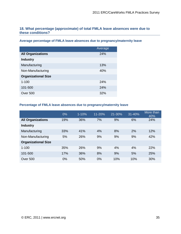#### **18. What percentage (approximate) of total FMLA leave absences were due to these conditions?**

**Average percentage of FMLA leave absences due to pregnancy/maternity leave**

|                            | Average |
|----------------------------|---------|
| <b>All Organizations</b>   | 24%     |
| <b>Industry</b>            |         |
| Manufacturing              | 13%     |
| Non-Manufacturing          | 40%     |
| <b>Organizational Size</b> |         |
| $1 - 100$                  | 24%     |
| 101-500                    | 24%     |
| Over 500                   | 32%     |

#### **Percentage of FMLA leave absences due to pregnancy/maternity leave**

|                            | $0\%$ | $1 - 10%$ | 11-20% | 21-30% | 31-40% | More than<br>40% |
|----------------------------|-------|-----------|--------|--------|--------|------------------|
| <b>All Organizations</b>   | 19%   | 36%       | 7%     | 9%     | 6%     | 24%              |
| <b>Industry</b>            |       |           |        |        |        |                  |
| Manufacturing              | 33%   | 41%       | 4%     | 8%     | 2%     | 12%              |
| Non-Manufacturing          | 5%    | 26%       | 9%     | 9%     | 9%     | 42%              |
| <b>Organizational Size</b> |       |           |        |        |        |                  |
| $1 - 100$                  | 35%   | 26%       | 9%     | 4%     | 4%     | 22%              |
| 101-500                    | 17%   | 36%       | 8%     | 9%     | 5%     | 25%              |
| <b>Over 500</b>            | 0%    | 50%       | 0%     | 10%    | 10%    | 30%              |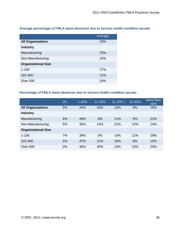|  | Average percentage of FMLA leave absences due to serious health condition (acute) |  |  |  |
|--|-----------------------------------------------------------------------------------|--|--|--|
|  |                                                                                   |  |  |  |

|                            | Average    |
|----------------------------|------------|
| <b>All Organizations</b>   | 23%        |
| <b>Industry</b>            |            |
| Manufacturing              | 22%        |
| Non-Manufacturing          | 22%        |
| <b>Organizational Size</b> |            |
| $1 - 100$                  | <b>27%</b> |
| 101-500                    | 21%        |
| Over 500                   | 24%        |

#### **Percentage of FMLA leave absences due to serious health condition (acute)**

|                            | 0% | $1 - 10%$ | 11-20% | 21-30% | 31-40% | More than<br>40% |
|----------------------------|----|-----------|--------|--------|--------|------------------|
| <b>All Organizations</b>   | 5% | 44%       | 10%    | 16%    | 8%     | 18%              |
| <b>Industry</b>            |    |           |        |        |        |                  |
| Manufacturing              | 6% | 49%       | 8%     | 11%    | 6%     | 21%              |
| Non-Manufacturing          | 5% | 35%       | 14%    | 21%    | 12%    | 14%              |
| <b>Organizational Size</b> |    |           |        |        |        |                  |
| $1 - 100$                  | 7% | 39%       | 0%     | 14%    | 11%    | 29%              |
| 101-500                    | 5% | 47%       | 11%    | 16%    | 6%     | 15%              |
| <b>Over 500</b>            | 0% | 30%       | 30%    | 10%    | 10%    | 20%              |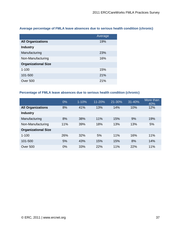**Average percentage of FMLA leave absences due to serious health condition (chronic)**

|                            | Average |
|----------------------------|---------|
| <b>All Organizations</b>   | 19%     |
| <b>Industry</b>            |         |
| Manufacturing              | 23%     |
| Non-Manufacturing          | 16%     |
| <b>Organizational Size</b> |         |
| $1 - 100$                  | 15%     |
| 101-500                    | 21%     |
| Over 500                   | 21%     |

#### **Percentage of FMLA leave absences due to serious health condition (chronic)**

|                            | 0%  | $1 - 10%$ | 11-20% | 21-30% | 31-40% | More than<br>40% |
|----------------------------|-----|-----------|--------|--------|--------|------------------|
| <b>All Organizations</b>   | 8%  | 41%       | 13%    | 14%    | 10%    | 12%              |
| <b>Industry</b>            |     |           |        |        |        |                  |
| Manufacturing              | 8%  | 38%       | 11%    | 15%    | 9%     | 19%              |
| Non-Manufacturing          | 11% | 39%       | 18%    | 13%    | 13%    | 5%               |
| <b>Organizational Size</b> |     |           |        |        |        |                  |
| $1 - 100$                  | 26% | 32%       | 5%     | 11%    | 16%    | 11%              |
| 101-500                    | 5%  | 43%       | 15%    | 15%    | 8%     | 14%              |
| <b>Over 500</b>            | 0%  | 33%       | 22%    | 11%    | 22%    | 11%              |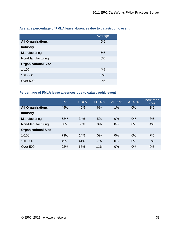|                            | Average |
|----------------------------|---------|
| <b>All Organizations</b>   | 6%      |
| <b>Industry</b>            |         |
| Manufacturing              | 5%      |
| Non-Manufacturing          | 5%      |
| <b>Organizational Size</b> |         |
| $1 - 100$                  | 4%      |
| 101-500                    | 6%      |
| Over 500                   | 4%      |

#### **Average percentage of FMLA leave absences due to catastrophic event**

#### **Percentage of FMLA leave absences due to catastrophic event**

|                            | 0%  | $1 - 10%$ | 11-20% | 21-30% | 31-40% | More than<br>40% |
|----------------------------|-----|-----------|--------|--------|--------|------------------|
| <b>All Organizations</b>   | 49% | 40%       | 6%     | 1%     | 0%     | 3%               |
| <b>Industry</b>            |     |           |        |        |        |                  |
| Manufacturing              | 58% | 34%       | 5%     | 0%     | 0%     | 3%               |
| Non-Manufacturing          | 38% | 50%       | 8%     | 0%     | 0%     | 4%               |
| <b>Organizational Size</b> |     |           |        |        |        |                  |
| $1 - 100$                  | 79% | 14%       | 0%     | 0%     | 0%     | 7%               |
| 101-500                    | 49% | 41%       | 7%     | 0%     | 0%     | 2%               |
| <b>Over 500</b>            | 22% | 67%       | 11%    | 0%     | 0%     | 0%               |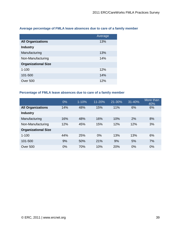|                            | Average |
|----------------------------|---------|
| <b>All Organizations</b>   | 13%     |
| <b>Industry</b>            |         |
| Manufacturing              | 13%     |
| Non-Manufacturing          | 14%     |
| <b>Organizational Size</b> |         |
| $1 - 100$                  | 12%     |
| 101-500                    | 14%     |
| Over 500                   | 12%     |

#### **Average percentage of FMLA leave absences due to care of a family member**

#### **Percentage of FMLA leave absences due to care of a family member**

|                            | 0%  | $1 - 10%$ | 11-20% | 21-30% | 31-40% | More than<br>40% |
|----------------------------|-----|-----------|--------|--------|--------|------------------|
| <b>All Organizations</b>   | 14% | 48%       | 15%    | 11%    | 6%     | 6%               |
| <b>Industry</b>            |     |           |        |        |        |                  |
| Manufacturing              | 16% | 48%       | 16%    | 10%    | 2%     | 8%               |
| Non-Manufacturing          | 12% | 45%       | 15%    | 12%    | 12%    | 3%               |
| <b>Organizational Size</b> |     |           |        |        |        |                  |
| $1 - 100$                  | 44% | 25%       | 0%     | 13%    | 13%    | 6%               |
| 101-500                    | 9%  | 50%       | 21%    | 9%     | 5%     | 7%               |
| <b>Over 500</b>            | 0%  | 70%       | 10%    | 20%    | 0%     | 0%               |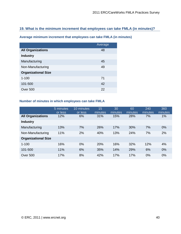#### **19. What is the minimum increment that employees can take FMLA (in minutes)?**

**Average minimum increment that employees can take FMLA (in minutes)**

|                            | Average |
|----------------------------|---------|
| <b>All Organizations</b>   | 48      |
| <b>Industry</b>            |         |
| Manufacturing              | 45      |
| Non-Manufacturing          | 49      |
| <b>Organizational Size</b> |         |
| $1 - 100$                  | 71      |
| 101-500                    | 42      |
| Over 500                   | 22      |

#### **Number of minutes in which employees can take FMLA**

|                            | 5 minutes<br>or less | 10 minutes<br>or less | 15<br>minutes | 30<br>minutes | 60<br>minutes | 240<br>minutes | 360<br>minutes |
|----------------------------|----------------------|-----------------------|---------------|---------------|---------------|----------------|----------------|
| <b>All Organizations</b>   | 12%                  | 6%                    | 31%           | 15%           | 28%           | 7%             | 1%             |
| <b>Industry</b>            |                      |                       |               |               |               |                |                |
| Manufacturing              | 13%                  | 7%                    | 26%           | 17%           | 30%           | 7%             | 0%             |
| Non-Manufacturing          | 11%                  | 2%                    | 40%           | 13%           | 24%           | 7%             | 2%             |
| <b>Organizational Size</b> |                      |                       |               |               |               |                |                |
| $1 - 100$                  | 16%                  | 0%                    | 20%           | 16%           | 32%           | 12%            | 4%             |
| 101-500                    | 11%                  | 6%                    | 35%           | 14%           | 29%           | 6%             | 0%             |
| <b>Over 500</b>            | 17%                  | 8%                    | 42%           | 17%           | 17%           | 0%             | 0%             |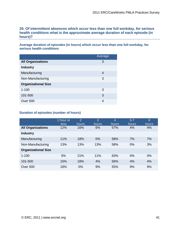**20. Of intermittent absences which occur less than one full workday, for serious health conditions what is the approximate average duration of each episode (in hours)?** 

**Average duration of episodes (in hours) which occur less than one full workday, for serious health conditions**

|                            | Average |
|----------------------------|---------|
| <b>All Organizations</b>   | 3       |
| <b>Industry</b>            |         |
| Manufacturing              | 4       |
| Non-Manufacturing          | 3       |
| <b>Organizational Size</b> |         |
| $1 - 100$                  | 3       |
| 101-500                    | 3       |
| Over 500                   | 4       |

#### **Duration of episodes (number of hours)**

|                            | 1 hour or<br>less | $\overline{2}$<br>hours <sup>'</sup> | 3<br><b>hours</b> | $\overline{4}$<br>hours | $5 - 7$<br>hours | $\overline{8}$<br>hours |
|----------------------------|-------------------|--------------------------------------|-------------------|-------------------------|------------------|-------------------------|
| <b>All Organizations</b>   | 12%               | 16%                                  | 6%                | 57%                     | 4%               | 4%                      |
| <b>Industry</b>            |                   |                                      |                   |                         |                  |                         |
| Manufacturing              | 11%               | 18%                                  | 0%                | 58%                     | 7%               | 7%                      |
| Non-Manufacturing          | 13%               | 13%                                  | 13%               | 58%                     | 0%               | 3%                      |
| <b>Organizational Size</b> |                   |                                      |                   |                         |                  |                         |
| $1 - 100$                  | 5%                | 21%                                  | 11%               | 63%                     | 0%               | 0%                      |
| 101-500                    | 15%               | 18%                                  | 4%                | 56%                     | 4%               | 4%                      |
| <b>Over 500</b>            | 18%               | 0%                                   | 9%                | 55%                     | 9%               | 9%                      |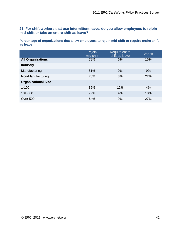**21. For shift-workers that use intermittent leave, do you allow employees to rejoin mid-shift or take an entire shift as leave?**

**Percentage of organizations that allow employees to rejoin mid-shift or require entire shift as leave**

|                            | Rejoin<br>mid-shift | Require entire<br>shift as leave | <b>Varies</b> |
|----------------------------|---------------------|----------------------------------|---------------|
| <b>All Organizations</b>   | 78%                 | 6%                               | 15%           |
| <b>Industry</b>            |                     |                                  |               |
| Manufacturing              | 81%                 | 9%                               | 9%            |
| Non-Manufacturing          | 76%                 | 3%                               | 22%           |
| <b>Organizational Size</b> |                     |                                  |               |
| $1 - 100$                  | 85%                 | 12%                              | 4%            |
| 101-500                    | 79%                 | 4%                               | 18%           |
| Over 500                   | 64%                 | 9%                               | 27%           |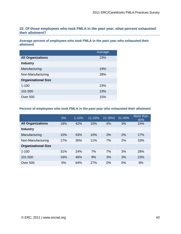#### **22. Of those employees who took FMLA in the past year, what percent exhausted their allotment?**

**Average percent of employees who took FMLA in the past year who exhausted their allotment**

|                            | Average |
|----------------------------|---------|
| <b>All Organizations</b>   | 23%     |
| <b>Industry</b>            |         |
| Manufacturing              | 19%     |
| Non-Manufacturing          | 28%     |
| <b>Organizational Size</b> |         |
| $1 - 100$                  | 23%     |
| 101-500                    | 23%     |
| Over 500                   | 15%     |

#### **Percent of employees who took FMLA in the past year who exhausted their allotment**

|                            | 0%  | $1 - 10%$ | $11 - 20%$ | 21-30% | $31 - 40%$ | More than<br>40% |
|----------------------------|-----|-----------|------------|--------|------------|------------------|
| <b>All Organizations</b>   | 18% | 42%       | 10%        | 4%     | 3%         | 24%              |
| <b>Industry</b>            |     |           |            |        |            |                  |
| Manufacturing              | 15% | 53%       | 10%        | 3%     | 2%         | 17%              |
| Non-Manufacturing          | 17% | 30%       | 11%        | 7%     | 2%         | 33%              |
| <b>Organizational Size</b> |     |           |            |        |            |                  |
| $1 - 100$                  | 31% | 24%       | 7%         | 7%     | 3%         | 28%              |
| 101-500                    | 16% | 46%       | 9%         | 3%     | 3%         | 23%              |
| <b>Over 500</b>            | 0%  | 64%       | 27%        | 0%     | 0%         | 9%               |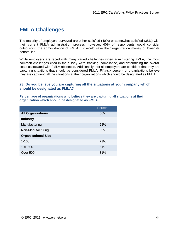## **FMLA Challenges**

The majority of employers surveyed are either satisfied (40%) or somewhat satisfied (38%) with their current FMLA administration process, however, 40% of respondents would consider outsourcing the administration of FMLA if it would save their organization money or lower its bottom line.

While employers are faced with many varied challenges when administering FMLA, the most common challenges cited in the survey were tracking, compliance, and determining the overall costs associated with FMLA absences. Additionally, not all employers are confident that they are capturing situations that should be considered FMLA. Fifty-six percent of organizations believe they are capturing all the situations at their organizations which should be designated as FMLA.

#### **23. Do you believe you are capturing all the situations at your company which should be designated as FMLA?**

**Percentage of organizations who believe they are capturing all situations at their organization which should be designated as FMLA**

|                            | Percent |
|----------------------------|---------|
| <b>All Organizations</b>   | 56%     |
| <b>Industry</b>            |         |
| Manufacturing              | 58%     |
| Non-Manufacturing          | 53%     |
| <b>Organizational Size</b> |         |
| $1 - 100$                  | 73%     |
| 101-500                    | 51%     |
| Over 500                   | 31%     |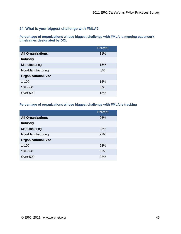#### **24. What is your biggest challenge with FMLA?**

**Percentage of organizations whose biggest challenge with FMLA is meeting paperwork timeframes designated by DOL**

|                            | Percent |
|----------------------------|---------|
| <b>All Organizations</b>   | 11%     |
| <b>Industry</b>            |         |
| Manufacturing              | 15%     |
| Non-Manufacturing          | 8%      |
| <b>Organizational Size</b> |         |
| $1 - 100$                  | 13%     |
| 101-500                    | 8%      |
| Over 500                   | 15%     |

#### **Percentage of organizations whose biggest challenge with FMLA is tracking**

|                            | Percent |
|----------------------------|---------|
| <b>All Organizations</b>   | 28%     |
| <b>Industry</b>            |         |
| Manufacturing              | 25%     |
| Non-Manufacturing          | 27%     |
| <b>Organizational Size</b> |         |
| $1 - 100$                  | 23%     |
| 101-500                    | 32%     |
| Over 500                   | 23%     |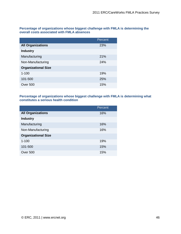**Percentage of organizations whose biggest challenge with FMLA is determining the overall costs associated with FMLA absences**

|                            | Percent |
|----------------------------|---------|
| <b>All Organizations</b>   | 23%     |
| <b>Industry</b>            |         |
| Manufacturing              | 21%     |
| Non-Manufacturing          | 24%     |
| <b>Organizational Size</b> |         |
| $1 - 100$                  | 19%     |
| 101-500                    | 25%     |
| Over 500                   | 15%     |

#### **Percentage of organizations whose biggest challenge with FMLA is determining what constitutes a serious health condition**

|                            | Percent |
|----------------------------|---------|
| <b>All Organizations</b>   | 16%     |
| <b>Industry</b>            |         |
| Manufacturing              | 16%     |
| Non-Manufacturing          | 16%     |
| <b>Organizational Size</b> |         |
| $1 - 100$                  | 19%     |
| 101-500                    | 15%     |
| Over 500                   | 15%     |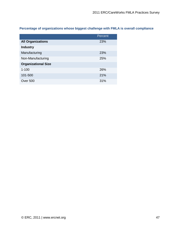**Percentage of organizations whose biggest challenge with FMLA is overall compliance**

|                            | Percent |
|----------------------------|---------|
| <b>All Organizations</b>   | 23%     |
| <b>Industry</b>            |         |
| Manufacturing              | 23%     |
| Non-Manufacturing          | 25%     |
| <b>Organizational Size</b> |         |
| $1 - 100$                  | 26%     |
| 101-500                    | 21%     |
| Over 500                   | 31%     |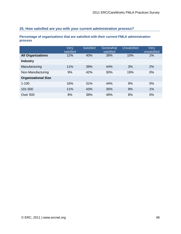#### **25. How satisfied are you with your current administration process?**

**Percentage of organizations that are satisfied with their current FMLA administration process**

|                            | Very<br>satisfied | <b>Satisfied</b> | Somewhat<br>satisfied | <b>Unsatisfied</b> | Very<br>unsatisfied |
|----------------------------|-------------------|------------------|-----------------------|--------------------|---------------------|
| <b>All Organizations</b>   | 12%               | 40%              | 38%                   | 10%                | 1%                  |
| <b>Industry</b>            |                   |                  |                       |                    |                     |
| Manufacturing              | 11%               | 39%              | 44%                   | 3%                 | 2%                  |
| Non-Manufacturing          | 9%                | 42%              | 30%                   | 19%                | $0\%$               |
| <b>Organizational Size</b> |                   |                  |                       |                    |                     |
| $1 - 100$                  | 16%               | 31%              | 44%                   | 9%                 | $0\%$               |
| 101-500                    | 11%               | 43%              | 35%                   | 9%                 | 1%                  |
| <b>Over 500</b>            | 8%                | 38%              | 46%                   | 8%                 | 0%                  |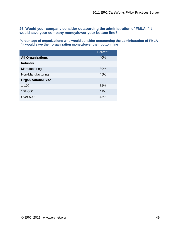**26. Would your company consider outsourcing the administration of FMLA if it would save your company money/lower your bottom line?** 

**Percentage of organizations who would consider outsourcing the administration of FMLA if it would save their organization money/lower their bottom line**

|                            | Percent |
|----------------------------|---------|
| <b>All Organizations</b>   | 40%     |
| <b>Industry</b>            |         |
| Manufacturing              | 39%     |
| Non-Manufacturing          | 45%     |
| <b>Organizational Size</b> |         |
| $1 - 100$                  | 32%     |
| 101-500                    | 41%     |
| Over 500                   | 45%     |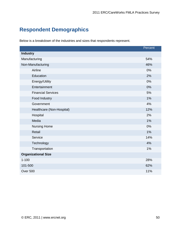## **Respondent Demographics**

Below is a breakdown of the industries and sizes that respondents represent.

|                            | Percent |
|----------------------------|---------|
| <b>Industry</b>            |         |
| Manufacturing              | 54%     |
| Non-Manufacturing          | 46%     |
| Airline                    | 0%      |
| Education                  | 2%      |
| Energy/Utility             | 0%      |
| Entertainment              | 0%      |
| <b>Financial Services</b>  | 5%      |
| Food Industry              | 1%      |
| Government                 | 4%      |
| Healthcare (Non-Hospital)  | 12%     |
| Hospital                   | 2%      |
| Media                      | 1%      |
| <b>Nursing Home</b>        | 0%      |
| Retail                     | 1%      |
| Service                    | 14%     |
| Technology                 | 4%      |
| Transportation             | 1%      |
| <b>Organizational Size</b> |         |
| $1 - 100$                  | 28%     |
| 101-500                    | 62%     |
| Over 500                   | 11%     |